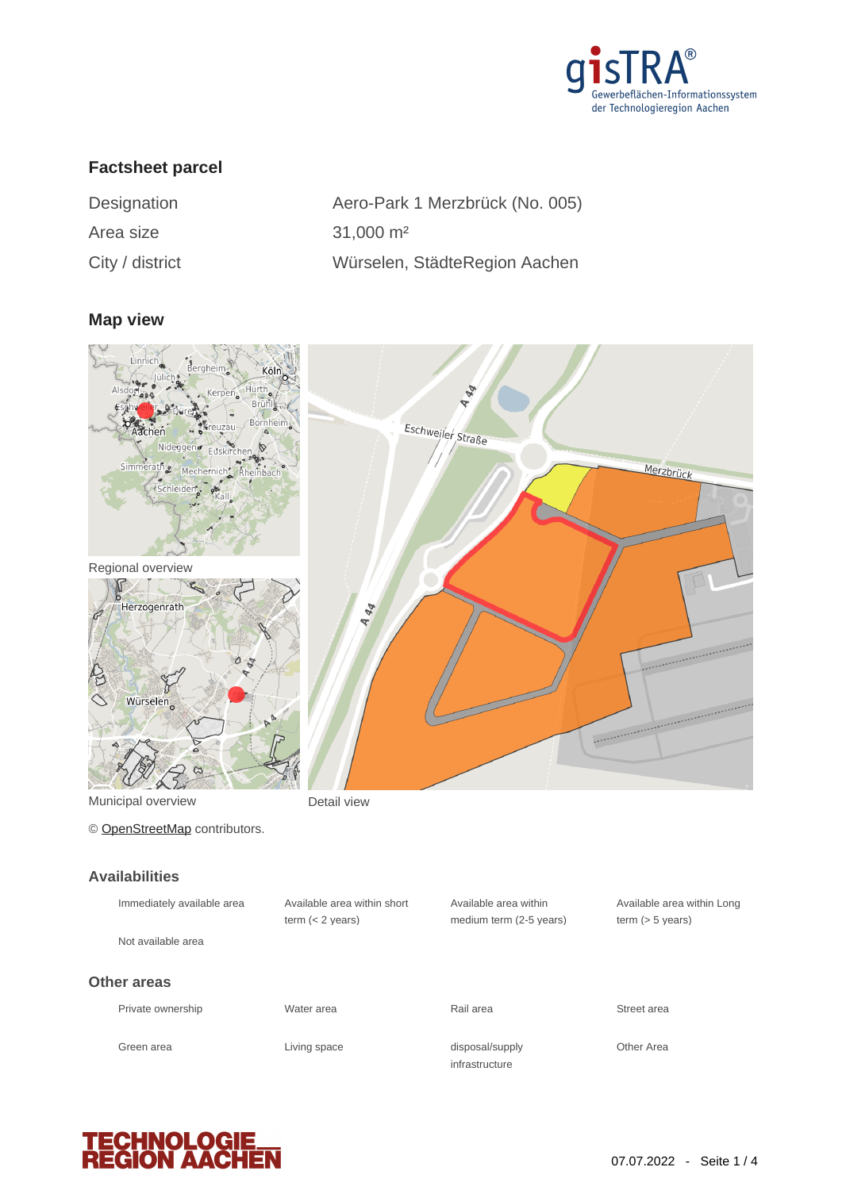

## **Factsheet parcel**

| Designation     |  |  |
|-----------------|--|--|
| Area size       |  |  |
| City / dictrict |  |  |

Aero-Park 1 Merzbrück (No. 005)  $31,000$  m<sup>2</sup> City / district Würselen, StädteRegion Aachen

#### **Map view**



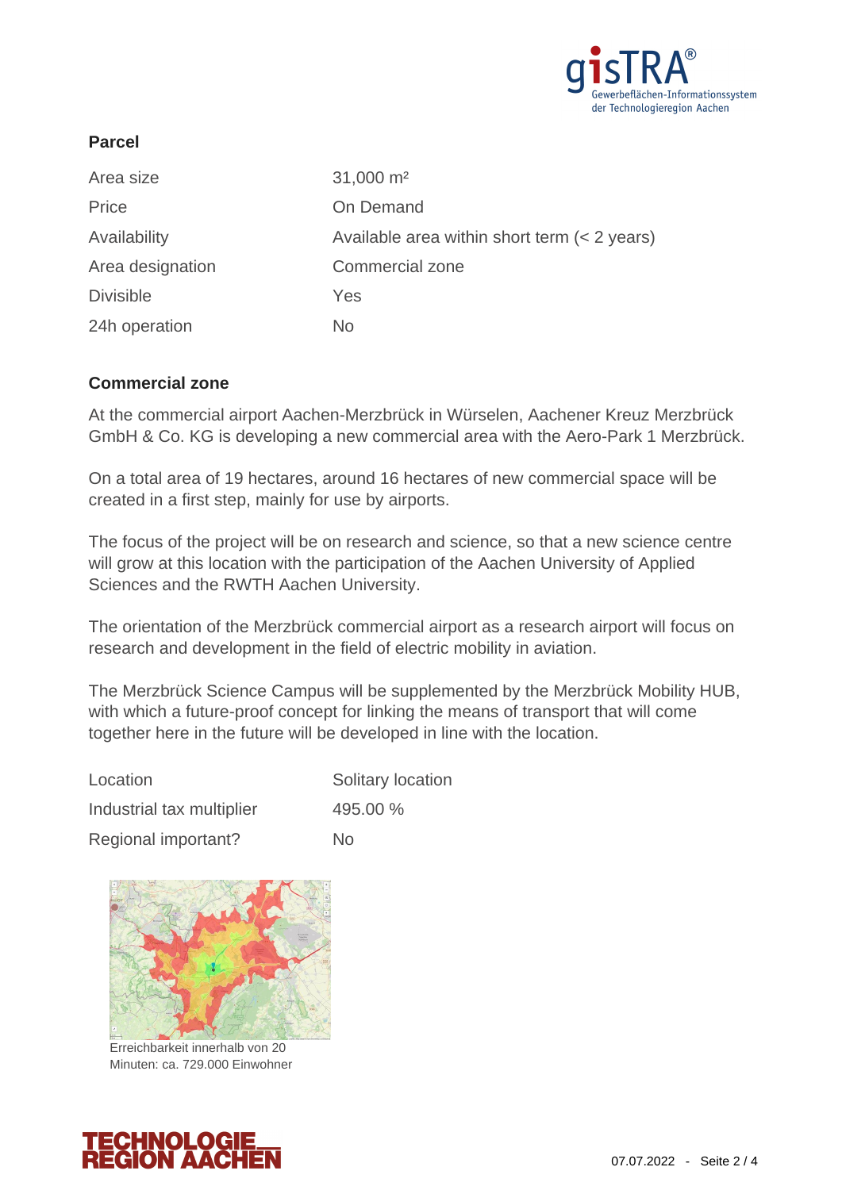

# **Parcel**

| Area size        | $31,000 \text{ m}^2$                         |
|------------------|----------------------------------------------|
| Price            | On Demand                                    |
| Availability     | Available area within short term (< 2 years) |
| Area designation | <b>Commercial zone</b>                       |
| <b>Divisible</b> | Yes                                          |
| 24h operation    | No.                                          |

## **Commercial zone**

At the commercial airport Aachen-Merzbrück in Würselen, Aachener Kreuz Merzbrück GmbH & Co. KG is developing a new commercial area with the Aero-Park 1 Merzbrück.

On a total area of 19 hectares, around 16 hectares of new commercial space will be created in a first step, mainly for use by airports.

The focus of the project will be on research and science, so that a new science centre will grow at this location with the participation of the Aachen University of Applied Sciences and the RWTH Aachen University.

The orientation of the Merzbrück commercial airport as a research airport will focus on research and development in the field of electric mobility in aviation.

The Merzbrück Science Campus will be supplemented by the Merzbrück Mobility HUB, with which a future-proof concept for linking the means of transport that will come together here in the future will be developed in line with the location.

| Location                  | Solitary location |
|---------------------------|-------------------|
| Industrial tax multiplier | 495.00 %          |
| Regional important?       | Nο                |



Erreichbarkeit innerhalb von 20 Minuten: ca. 729.000 Einwohner

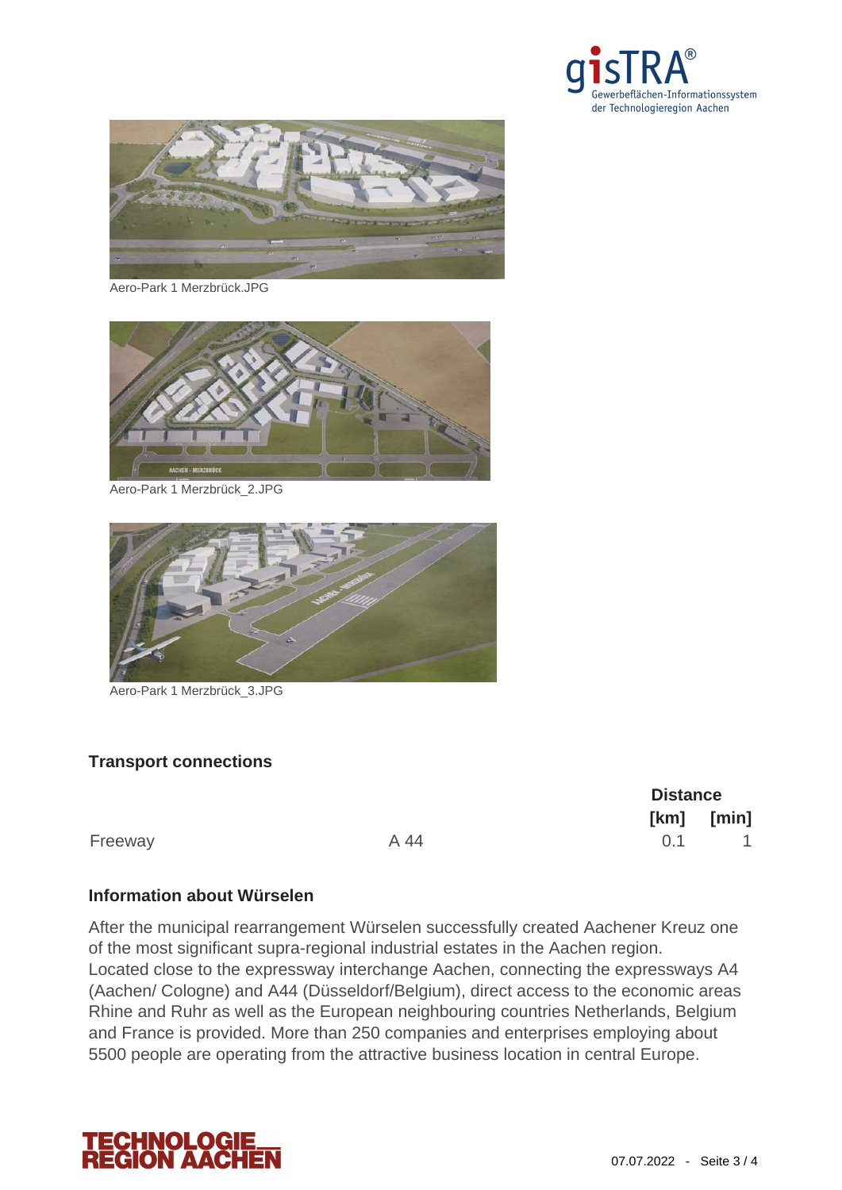



Aero-Park 1 Merzbrück.JPG



Aero-Park 1 Merzbrück\_2.JPG



Aero-Park 1 Merzbrück\_3.JPG

## **Transport connections**

**Distance [km] [min]**  $A\,44$  0.1 1

#### **Information about Würselen**

After the municipal rearrangement Würselen successfully created Aachener Kreuz one of the most significant supra-regional industrial estates in the Aachen region. Located close to the expressway interchange Aachen, connecting the expressways A4 (Aachen/ Cologne) and A44 (Düsseldorf/Belgium), direct access to the economic areas Rhine and Ruhr as well as the European neighbouring countries Netherlands, Belgium and France is provided. More than 250 companies and enterprises employing about 5500 people are operating from the attractive business location in central Europe.